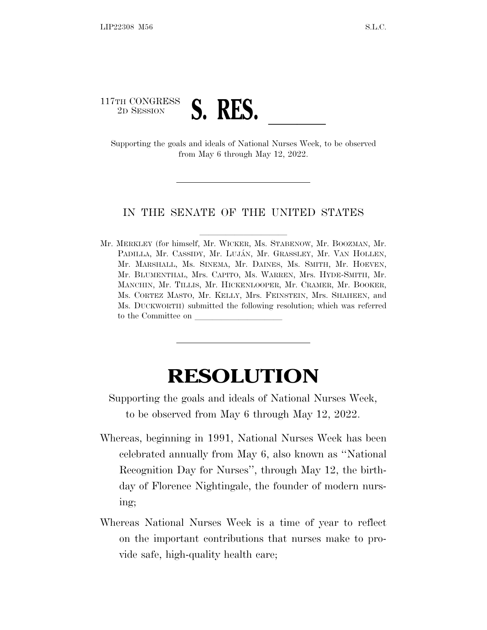## 117TH CONGRESS <sup>TH CONGRESS</sup><br>
<sup>2D SESSION</sup><br>
Supporting the goals and ideals of National Nurses Week, to be observed

from May 6 through May 12, 2022.

## IN THE SENATE OF THE UNITED STATES

Mr. MERKLEY (for himself, Mr. WICKER, Ms. STABENOW, Mr. BOOZMAN, Mr. PADILLA, Mr. CASSIDY, Mr. LUJÁN, Mr. GRASSLEY, Mr. VAN HOLLEN, Mr. MARSHALL, Ms. SINEMA, Mr. DAINES, Ms. SMITH, Mr. HOEVEN, Mr. BLUMENTHAL, Mrs. CAPITO, Ms. WARREN, Mrs. HYDE-SMITH, Mr. MANCHIN, Mr. TILLIS, Mr. HICKENLOOPER, Mr. CRAMER, Mr. BOOKER, Ms. CORTEZ MASTO, Mr. KELLY, Mrs. FEINSTEIN, Mrs. SHAHEEN, and Ms. DUCKWORTH) submitted the following resolution; which was referred to the Committee on

## **RESOLUTION**

Supporting the goals and ideals of National Nurses Week, to be observed from May 6 through May 12, 2022.

- Whereas, beginning in 1991, National Nurses Week has been celebrated annually from May 6, also known as ''National Recognition Day for Nurses'', through May 12, the birthday of Florence Nightingale, the founder of modern nursing;
- Whereas National Nurses Week is a time of year to reflect on the important contributions that nurses make to provide safe, high-quality health care;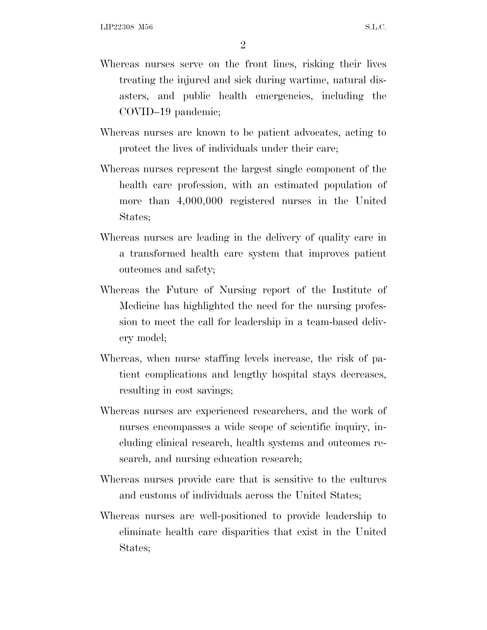- Whereas nurses serve on the front lines, risking their lives treating the injured and sick during wartime, natural disasters, and public health emergencies, including the COVID–19 pandemic;
- Whereas nurses are known to be patient advocates, acting to protect the lives of individuals under their care;
- Whereas nurses represent the largest single component of the health care profession, with an estimated population of more than 4,000,000 registered nurses in the United States;
- Whereas nurses are leading in the delivery of quality care in a transformed health care system that improves patient outcomes and safety;
- Whereas the Future of Nursing report of the Institute of Medicine has highlighted the need for the nursing profession to meet the call for leadership in a team-based delivery model;
- Whereas, when nurse staffing levels increase, the risk of patient complications and lengthy hospital stays decreases, resulting in cost savings;
- Whereas nurses are experienced researchers, and the work of nurses encompasses a wide scope of scientific inquiry, including clinical research, health systems and outcomes research, and nursing education research;
- Whereas nurses provide care that is sensitive to the cultures and customs of individuals across the United States;
- Whereas nurses are well-positioned to provide leadership to eliminate health care disparities that exist in the United States;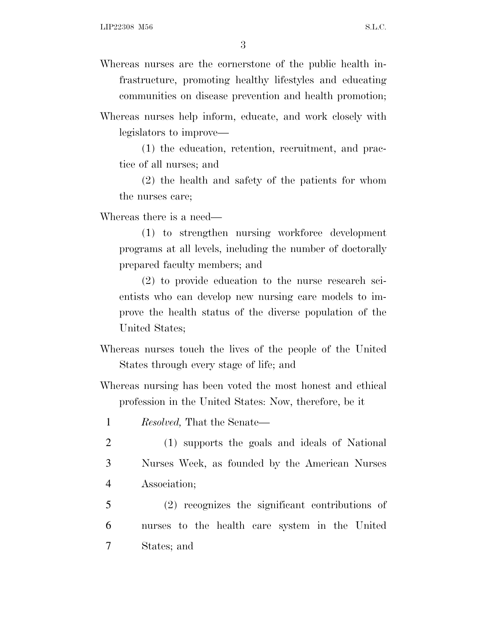Whereas nurses are the cornerstone of the public health infrastructure, promoting healthy lifestyles and educating communities on disease prevention and health promotion;

Whereas nurses help inform, educate, and work closely with legislators to improve—

(1) the education, retention, recruitment, and practice of all nurses; and

(2) the health and safety of the patients for whom the nurses care;

Whereas there is a need—

(1) to strengthen nursing workforce development programs at all levels, including the number of doctorally prepared faculty members; and

(2) to provide education to the nurse research scientists who can develop new nursing care models to improve the health status of the diverse population of the United States;

- Whereas nurses touch the lives of the people of the United States through every stage of life; and
- Whereas nursing has been voted the most honest and ethical profession in the United States: Now, therefore, be it
- 1 *Resolved,* That the Senate—
- 2 (1) supports the goals and ideals of National 3 Nurses Week, as founded by the American Nurses 4 Association;

5 (2) recognizes the significant contributions of 6 nurses to the health care system in the United 7 States; and